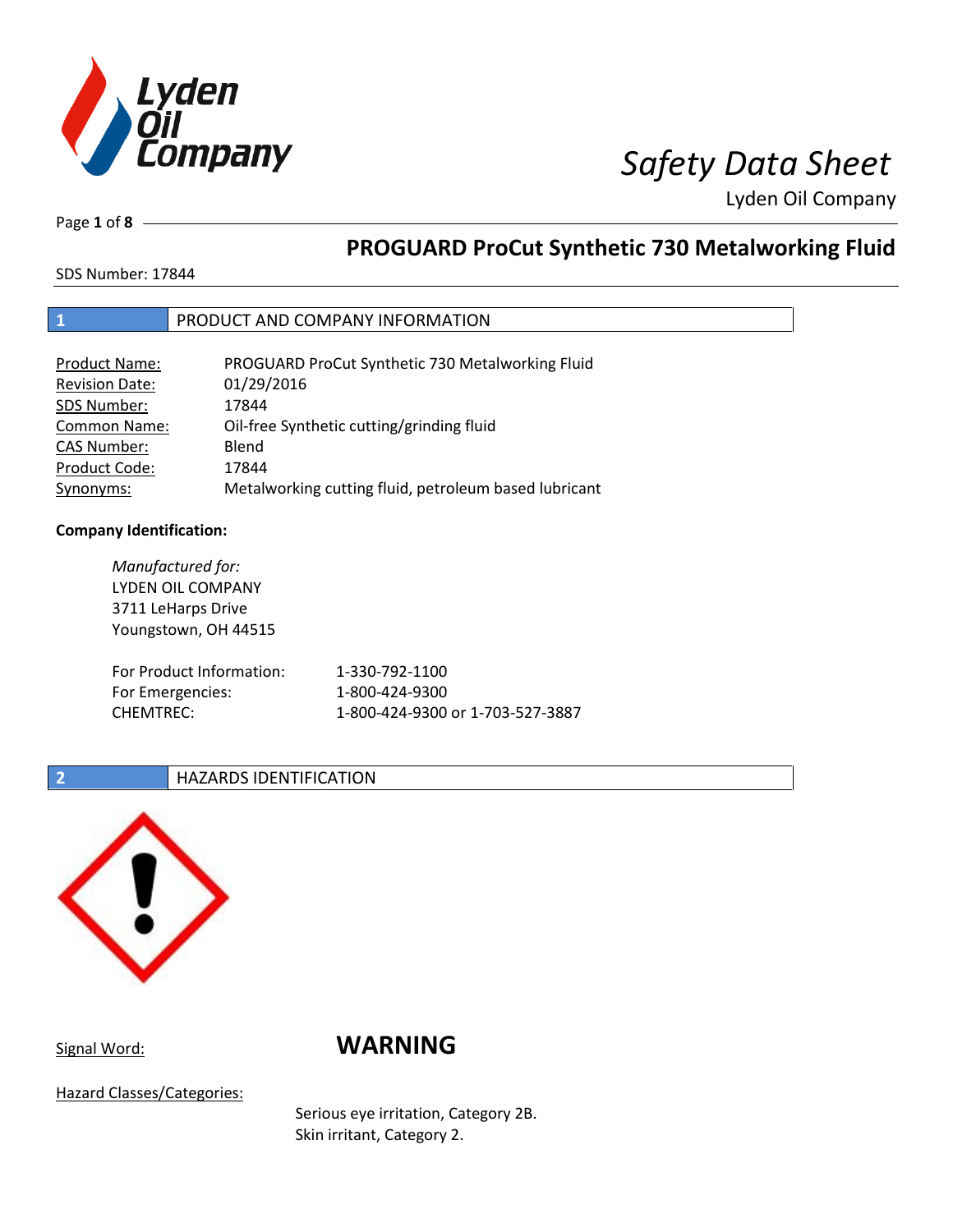

Lyden Oil Company

Page **1** of **8**

## **PROGUARD ProCut Synthetic 730 Metalworking Fluid**

SDS Number: 17844

### **1** PRODUCT AND COMPANY INFORMATION

| <b>Product Name:</b>  | PROGUARD ProCut Synthetic 730 Metalworking Fluid      |
|-----------------------|-------------------------------------------------------|
| <b>Revision Date:</b> | 01/29/2016                                            |
| SDS Number:           | 17844                                                 |
| <b>Common Name:</b>   | Oil-free Synthetic cutting/grinding fluid             |
| <b>CAS Number:</b>    | Blend                                                 |
| Product Code:         | 17844                                                 |
| Synonyms:             | Metalworking cutting fluid, petroleum based lubricant |

### **Company Identification:**

*Manufactured for:*  LYDEN OIL COMPANY 3711 LeHarps Drive Youngstown, OH 44515 For Product Information: 1-330-792-1100 For Emergencies: 1-800-424-9300 CHEMTREC: 1-800-424-9300 or 1-703-527-3887

### **2 HAZARDS IDENTIFICATION**



## Signal Word: **WARNING**

Hazard Classes/Categories:

Serious eye irritation, Category 2B. Skin irritant, Category 2.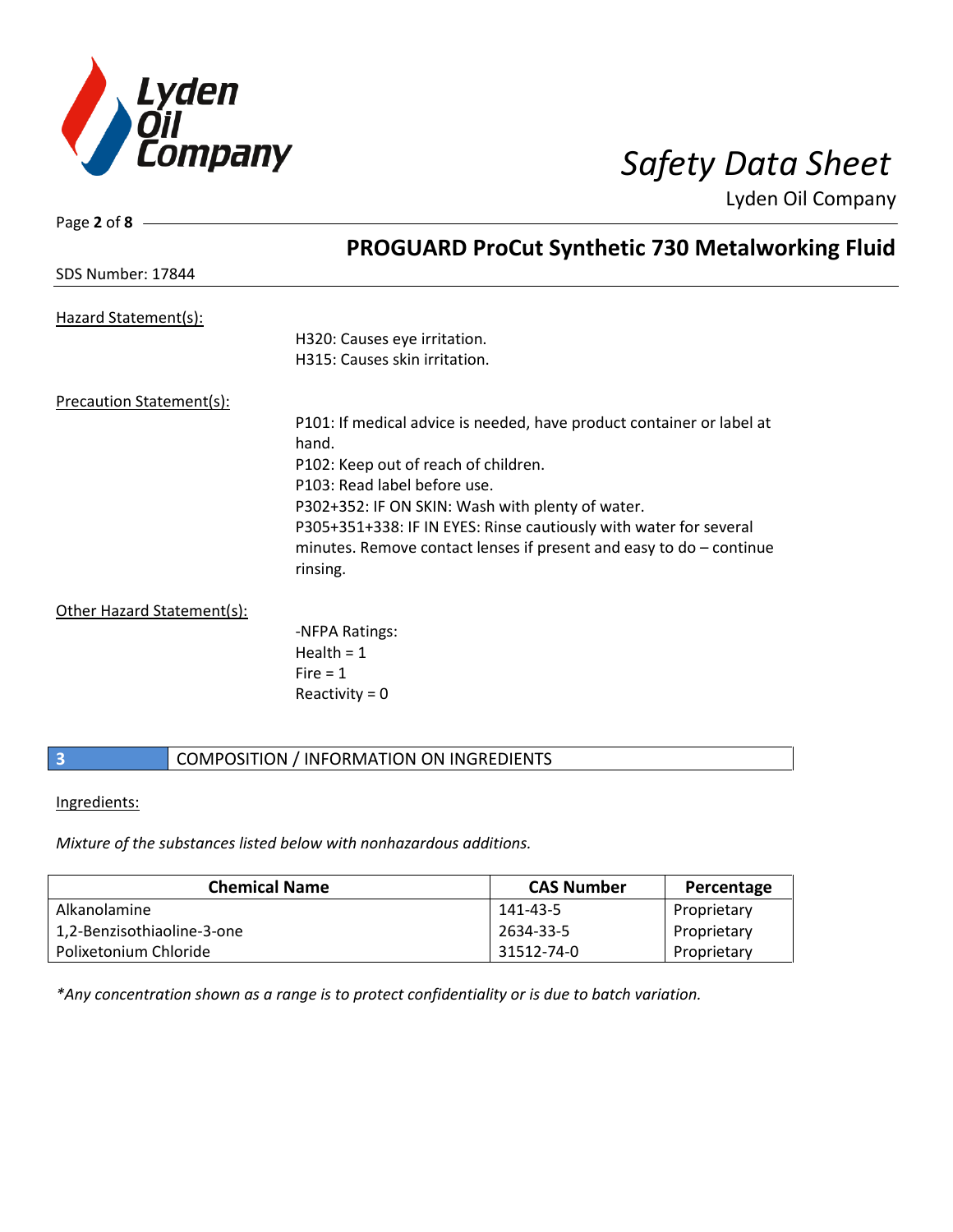

Page **2** of **8**

Lyden Oil Company

|                                 | <b>PROGUARD ProCut Synthetic 730 Metalworking Fluid</b>               |
|---------------------------------|-----------------------------------------------------------------------|
| SDS Number: 17844               |                                                                       |
| Hazard Statement(s):            |                                                                       |
|                                 | H320: Causes eye irritation.                                          |
|                                 | H315: Causes skin irritation.                                         |
| <b>Precaution Statement(s):</b> |                                                                       |
|                                 | P101: If medical advice is needed, have product container or label at |
|                                 | hand.                                                                 |
|                                 | P102: Keep out of reach of children.                                  |
|                                 | P103: Read label before use.                                          |
|                                 | P302+352: IF ON SKIN: Wash with plenty of water.                      |
|                                 | P305+351+338: IF IN EYES: Rinse cautiously with water for several     |
|                                 | minutes. Remove contact lenses if present and easy to $do$ – continue |
|                                 | rinsing.                                                              |
| Other Hazard Statement(s):      |                                                                       |
|                                 | -NFPA Ratings:                                                        |
|                                 | Health = $1$                                                          |
|                                 | $Fire = 1$                                                            |
|                                 | Reactivity = $0$                                                      |
|                                 |                                                                       |

### **3 COMPOSITION** / INFORMATION ON INGREDIENTS

Ingredients:

*Mixture of the substances listed below with nonhazardous additions.*

| <b>Chemical Name</b>       | <b>CAS Number</b> | Percentage  |
|----------------------------|-------------------|-------------|
| Alkanolamine               | 141-43-5          | Proprietary |
| 1,2-Benzisothiaoline-3-one | 2634-33-5         | Proprietary |
| Polixetonium Chloride      | 31512-74-0        | Proprietary |

*\*Any concentration shown as a range is to protect confidentiality or is due to batch variation.*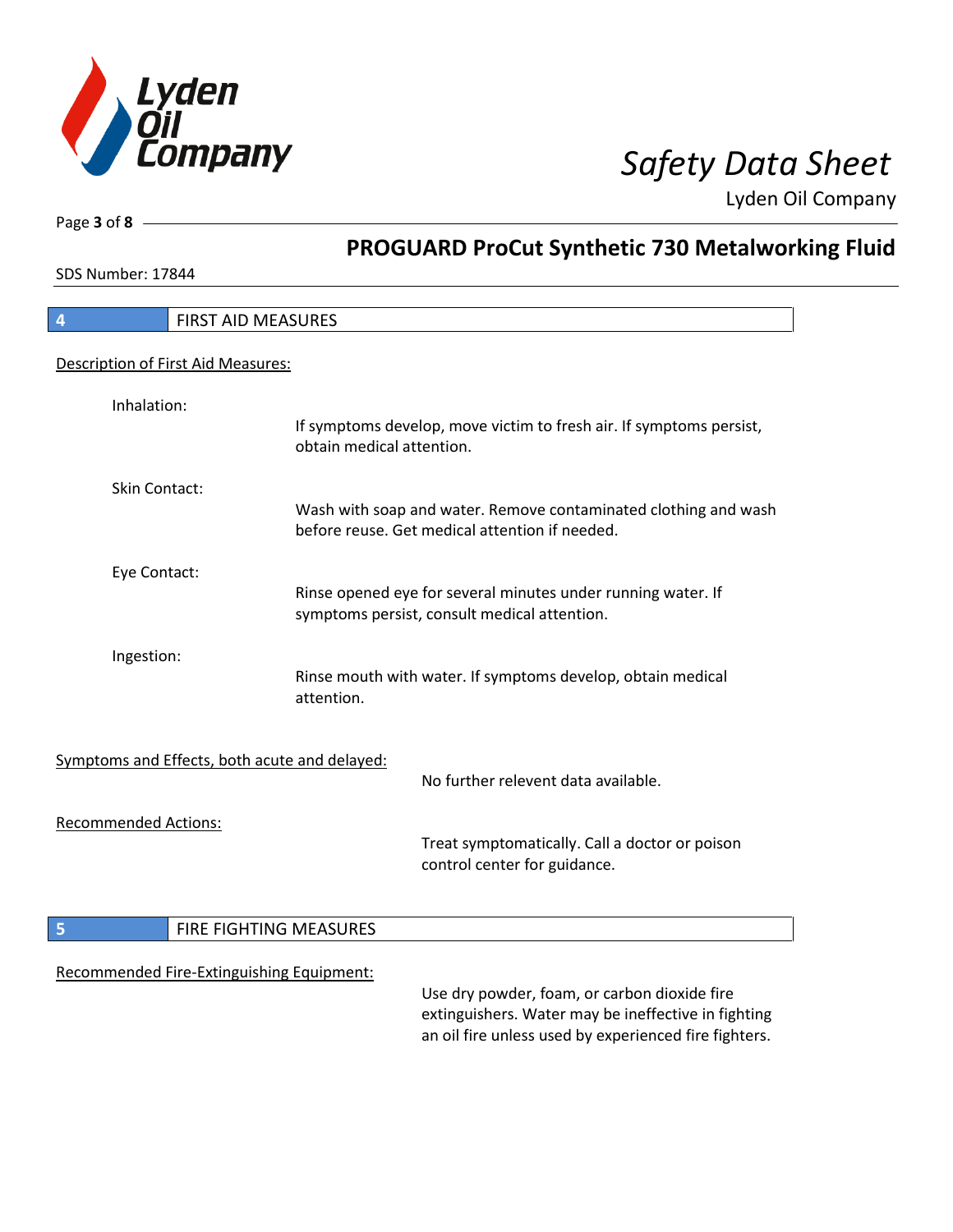

Lyden Oil Company

SDS Number: 17844

Page **3** of **8**

# **PROGUARD ProCut Synthetic 730 Metalworking Fluid**

| 4                           |               | <b>FIRST AID MEASURES</b>                     |                           |                                                                                                                                                              |
|-----------------------------|---------------|-----------------------------------------------|---------------------------|--------------------------------------------------------------------------------------------------------------------------------------------------------------|
|                             |               | Description of First Aid Measures:            |                           |                                                                                                                                                              |
|                             | Inhalation:   |                                               |                           |                                                                                                                                                              |
|                             |               |                                               | obtain medical attention. | If symptoms develop, move victim to fresh air. If symptoms persist,                                                                                          |
|                             | Skin Contact: |                                               |                           | Wash with soap and water. Remove contaminated clothing and wash<br>before reuse. Get medical attention if needed.                                            |
|                             | Eye Contact:  |                                               |                           | Rinse opened eye for several minutes under running water. If<br>symptoms persist, consult medical attention.                                                 |
|                             | Ingestion:    |                                               | attention.                | Rinse mouth with water. If symptoms develop, obtain medical                                                                                                  |
|                             |               | Symptoms and Effects, both acute and delayed: |                           | No further relevent data available.                                                                                                                          |
| <b>Recommended Actions:</b> |               |                                               |                           | Treat symptomatically. Call a doctor or poison<br>control center for guidance.                                                                               |
| 5                           |               | FIRE FIGHTING MEASURES                        |                           |                                                                                                                                                              |
|                             |               | Recommended Fire-Extinguishing Equipment:     |                           | Use dry powder, foam, or carbon dioxide fire<br>extinguishers. Water may be ineffective in fighting<br>an oil fire unless used by experienced fire fighters. |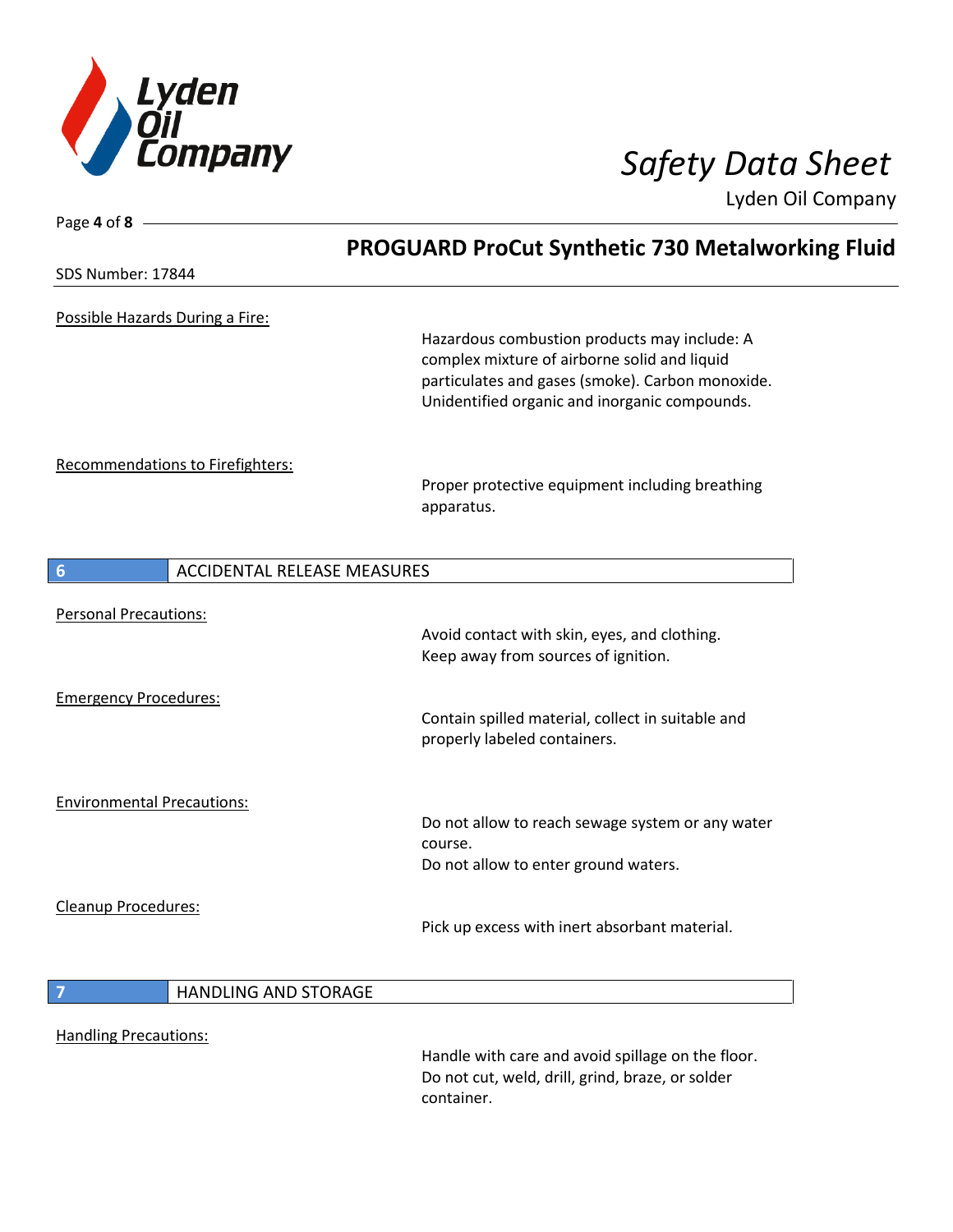

Lyden Oil Company

| Page 4 of 8 -                     |                                    |                                                                                                                                                                                                   |  |
|-----------------------------------|------------------------------------|---------------------------------------------------------------------------------------------------------------------------------------------------------------------------------------------------|--|
|                                   |                                    | <b>PROGUARD ProCut Synthetic 730 Metalworking Fluid</b>                                                                                                                                           |  |
| SDS Number: 17844                 |                                    |                                                                                                                                                                                                   |  |
|                                   | Possible Hazards During a Fire:    |                                                                                                                                                                                                   |  |
|                                   |                                    | Hazardous combustion products may include: A<br>complex mixture of airborne solid and liquid<br>particulates and gases (smoke). Carbon monoxide.<br>Unidentified organic and inorganic compounds. |  |
|                                   | Recommendations to Firefighters:   |                                                                                                                                                                                                   |  |
|                                   |                                    | Proper protective equipment including breathing<br>apparatus.                                                                                                                                     |  |
| 6                                 | <b>ACCIDENTAL RELEASE MEASURES</b> |                                                                                                                                                                                                   |  |
| <b>Personal Precautions:</b>      |                                    |                                                                                                                                                                                                   |  |
|                                   |                                    | Avoid contact with skin, eyes, and clothing.<br>Keep away from sources of ignition.                                                                                                               |  |
| <b>Emergency Procedures:</b>      |                                    |                                                                                                                                                                                                   |  |
|                                   |                                    | Contain spilled material, collect in suitable and<br>properly labeled containers.                                                                                                                 |  |
| <b>Environmental Precautions:</b> |                                    |                                                                                                                                                                                                   |  |
|                                   |                                    | Do not allow to reach sewage system or any water<br>course.                                                                                                                                       |  |
|                                   |                                    | Do not allow to enter ground waters.                                                                                                                                                              |  |
| Cleanup Procedures:               |                                    |                                                                                                                                                                                                   |  |
|                                   |                                    | Pick up excess with inert absorbant material.                                                                                                                                                     |  |
| $\overline{7}$                    | <b>HANDLING AND STORAGE</b>        |                                                                                                                                                                                                   |  |
|                                   |                                    |                                                                                                                                                                                                   |  |
| <b>Handling Precautions:</b>      |                                    | Handle with care and avoid spillage on the floor.<br>Do not cut, weld, drill, grind, braze, or solder<br>container.                                                                               |  |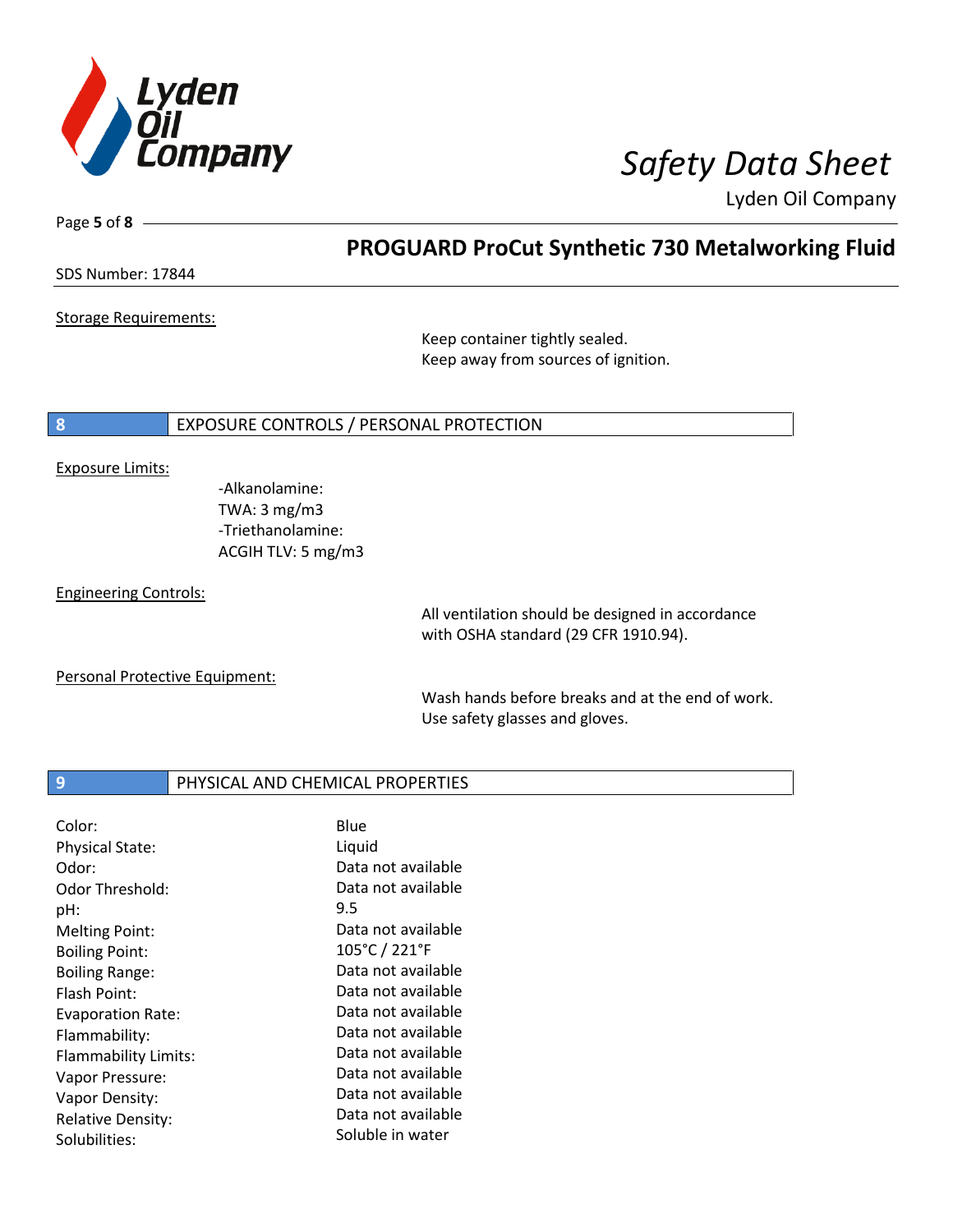

Lyden Oil Company

Page **5** of **8**

## **PROGUARD ProCut Synthetic 730 Metalworking Fluid**

SDS Number: 17844

Storage Requirements:

Keep container tightly sealed. Keep away from sources of ignition.

### **8** EXPOSURE CONTROLS / PERSONAL PROTECTION

### Exposure Limits:

-Alkanolamine: TWA: 3 mg/m3 -Triethanolamine: ACGIH TLV: 5 mg/m3

Engineering Controls:

All ventilation should be designed in accordance with OSHA standard (29 CFR 1910.94).

Personal Protective Equipment:

Wash hands before breaks and at the end of work. Use safety glasses and gloves.

### **9** PHYSICAL AND CHEMICAL PROPERTIES

| Color:                   | Blue               |
|--------------------------|--------------------|
| <b>Physical State:</b>   | Liquid             |
| Odor:                    | Data not available |
| Odor Threshold:          | Data not available |
| pH:                      | 9.5                |
| <b>Melting Point:</b>    | Data not available |
| <b>Boiling Point:</b>    | 105°C / 221°F      |
| <b>Boiling Range:</b>    | Data not available |
| <b>Flash Point:</b>      | Data not available |
| <b>Evaporation Rate:</b> | Data not available |
| Flammability:            | Data not available |
| Flammability Limits:     | Data not available |
| Vapor Pressure:          | Data not available |
| Vapor Density:           | Data not available |
| <b>Relative Density:</b> | Data not available |
| Solubilities:            | Soluble in water   |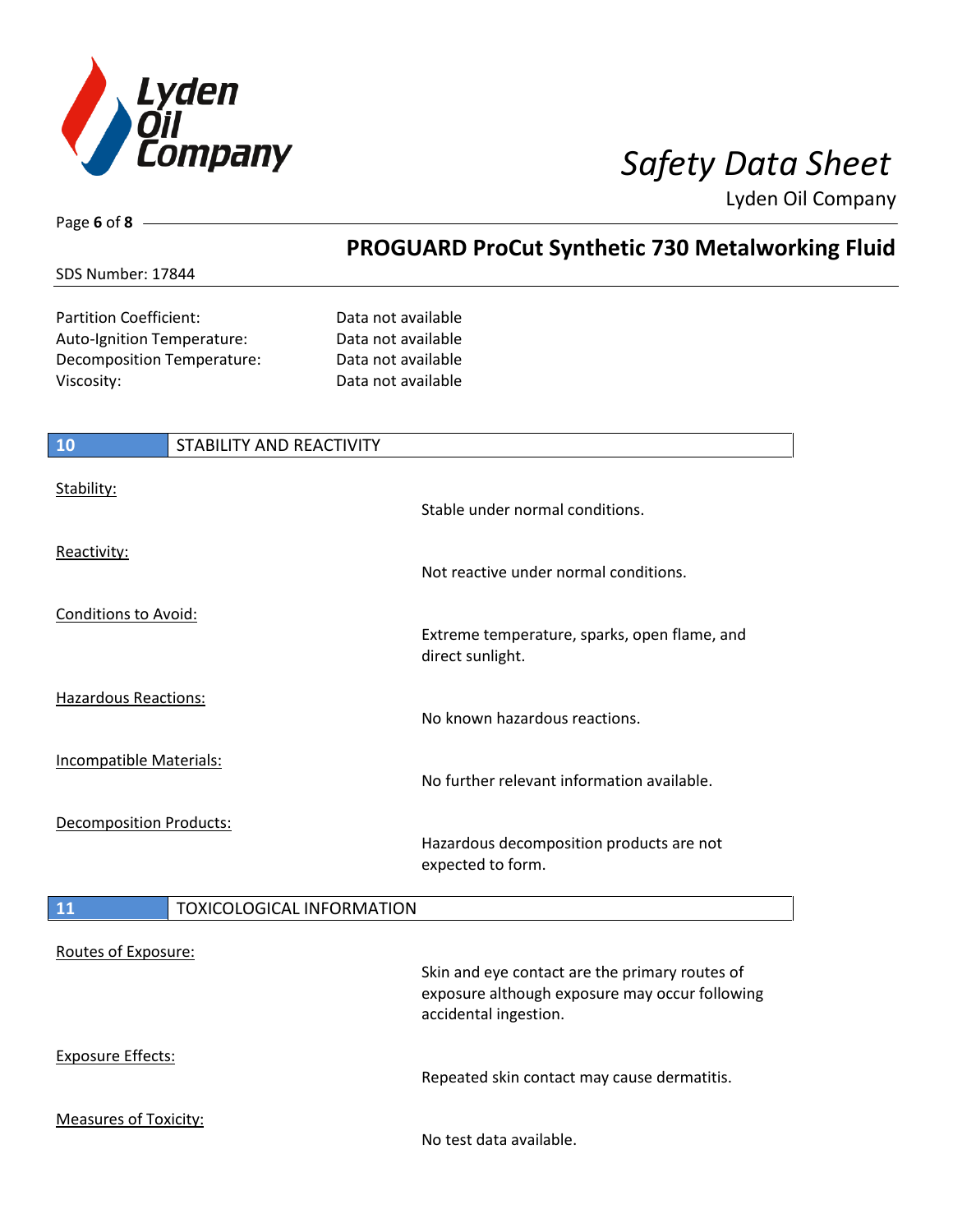

**PROGUARD ProCut Synthetic 730 Metalworking Fluid** 

Lyden Oil Company

SDS Number: 17844

Page **6** of **8**

Partition Coefficient: Data not available Auto-Ignition Temperature: Data not available Decomposition Temperature: Data not available Viscosity: Data not available

# **10** STABILITY AND REACTIVITY Stability: Stable under normal conditions. Reactivity: Not reactive under normal conditions. Conditions to Avoid: Extreme temperature, sparks, open flame, and direct sunlight. Hazardous Reactions: No known hazardous reactions. Incompatible Materials: No further relevant information available. Decomposition Products: Hazardous decomposition products are not expected to form. **11** TOXICOLOGICAL INFORMATION Routes of Exposure: Skin and eye contact are the primary routes of exposure although exposure may occur following accidental ingestion. Exposure Effects: Repeated skin contact may cause dermatitis. Measures of Toxicity: No test data available.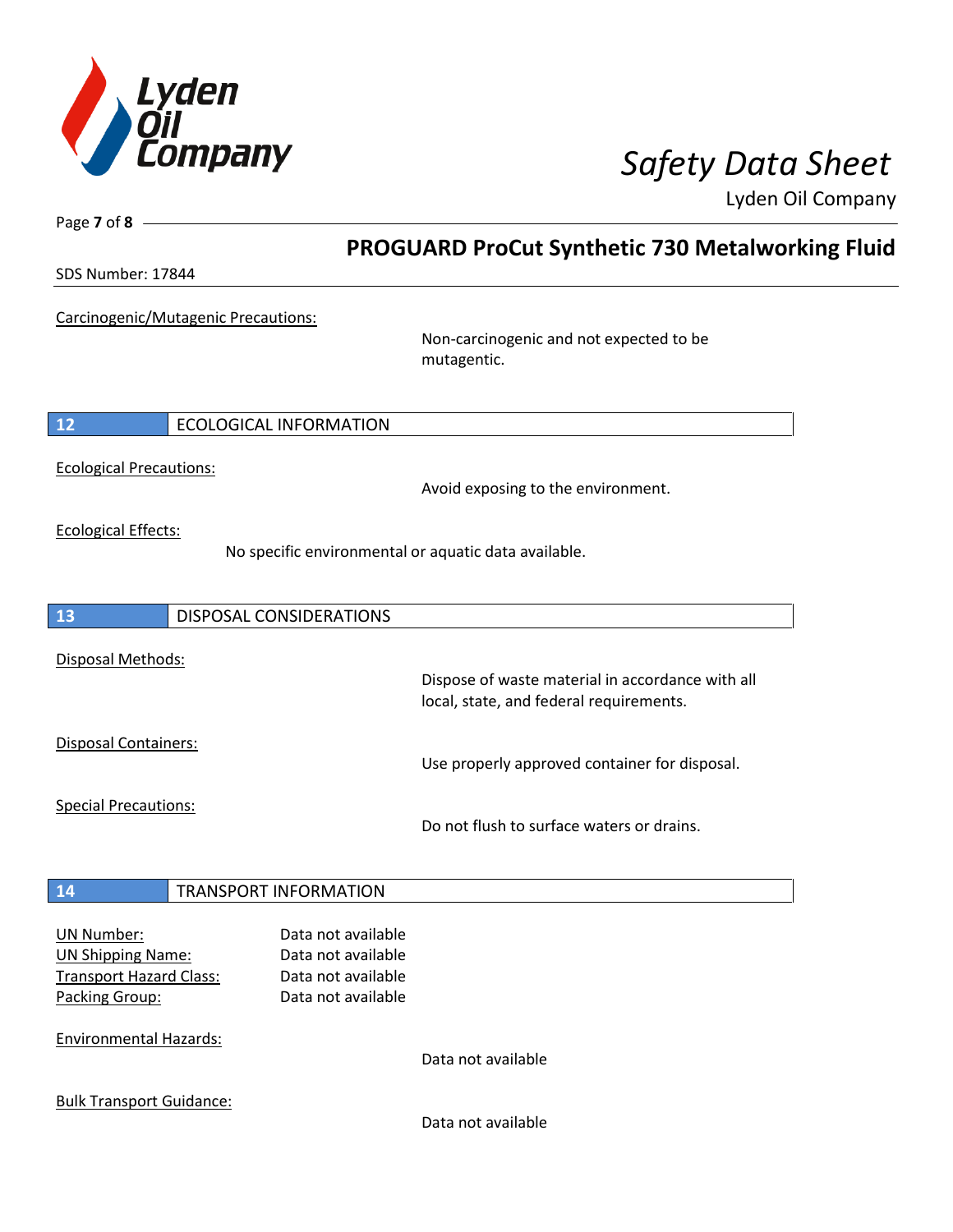

Lyden Oil Company

| Page $7$ of $8$ -                                                                                 |                                                                                      |                                                                                             |  |
|---------------------------------------------------------------------------------------------------|--------------------------------------------------------------------------------------|---------------------------------------------------------------------------------------------|--|
|                                                                                                   |                                                                                      | <b>PROGUARD ProCut Synthetic 730 Metalworking Fluid</b>                                     |  |
| SDS Number: 17844                                                                                 |                                                                                      |                                                                                             |  |
| Carcinogenic/Mutagenic Precautions:                                                               |                                                                                      | Non-carcinogenic and not expected to be<br>mutagentic.                                      |  |
|                                                                                                   |                                                                                      |                                                                                             |  |
| 12<br><b>ECOLOGICAL INFORMATION</b>                                                               |                                                                                      |                                                                                             |  |
| <b>Ecological Precautions:</b>                                                                    |                                                                                      | Avoid exposing to the environment.                                                          |  |
| <b>Ecological Effects:</b>                                                                        |                                                                                      | No specific environmental or aquatic data available.                                        |  |
| 13<br>DISPOSAL CONSIDERATIONS                                                                     |                                                                                      |                                                                                             |  |
| Disposal Methods:                                                                                 |                                                                                      | Dispose of waste material in accordance with all<br>local, state, and federal requirements. |  |
| Disposal Containers:                                                                              |                                                                                      | Use properly approved container for disposal.                                               |  |
| <b>Special Precautions:</b>                                                                       |                                                                                      | Do not flush to surface waters or drains.                                                   |  |
| <b>TRANSPORT INFORMATION</b><br>14                                                                |                                                                                      |                                                                                             |  |
| <b>UN Number:</b><br><b>UN Shipping Name:</b><br><b>Transport Hazard Class:</b><br>Packing Group: | Data not available<br>Data not available<br>Data not available<br>Data not available |                                                                                             |  |
| <b>Environmental Hazards:</b>                                                                     |                                                                                      | Data not available                                                                          |  |
| <b>Bulk Transport Guidance:</b>                                                                   |                                                                                      | Data not available                                                                          |  |